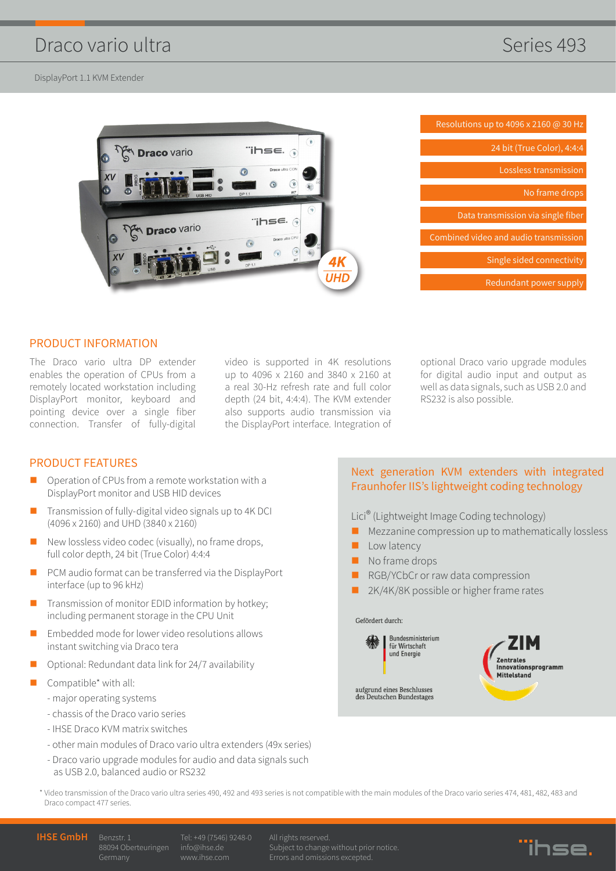# Draco vario ultra

DisplayPort 1.1 KVM Extender



| Resolutions up to 4096 x 2160 @ 30 Hz |
|---------------------------------------|
| 24 bit (True Color), 4:4:4            |
| Lossless transmission                 |
| No frame drops                        |
| Data transmission via single fiber    |
| Combined video and audio transmission |
| Single sided connectivity             |
| Redundant power supply                |

## PRODUCT INFORMATION

The Draco vario ultra DP extender enables the operation of CPUs from a remotely located workstation including DisplayPort monitor, keyboard and pointing device over a single fiber connection. Transfer of fully-digital

video is supported in 4K resolutions up to 4096 x 2160 and 3840 x 2160 at a real 30-Hz refresh rate and full color depth (24 bit, 4:4:4). The KVM extender also supports audio transmission via the DisplayPort interface. Integration of

optional Draco vario upgrade modules for digital audio input and output as well as data signals, such as USB 2.0 and RS232 is also possible.

### PRODUCT FEATURES

- **D** Operation of CPUs from a remote workstation with a DisplayPort monitor and USB HID devices
- Transmission of fully-digital video signals up to 4K DCI (4096 x 2160) and UHD (3840 x 2160)
- $\blacksquare$  New lossless video codec (visually), no frame drops, full color depth, 24 bit (True Color) 4:4:4
- PCM audio format can be transferred via the DisplayPort interface (up to 96 kHz)
- Transmission of monitor EDID information by hotkey; including permanent storage in the CPU Unit
- **Embedded mode for lower video resolutions allows** instant switching via Draco tera
- Optional: Redundant data link for 24/7 availability
- Compatible\* with all:
	- major operating systems
	- chassis of the Draco vario series
	- IHSE Draco KVM matrix switches
	- other main modules of Draco vario ultra extenders (49x series)
	- Draco vario upgrade modules for audio and data signals such as USB 2.0, balanced audio or RS232

## Next generation KVM extenders with integrated Fraunhofer IIS's lightweight coding technology

Lici® (Lightweight Image Coding technology)

- $\blacksquare$  Mezzanine compression up to mathematically lossless
- $Low$  latency
- No frame drops
- RGB/YCbCr or raw data compression
- 2K/4K/8K possible or higher frame rates

Gefördert durch:



\* Video transmission of the Draco vario ultra series 490, 492 and 493 series is not compatible with the main modules of the Draco vario series 474, 481, 482, 483 and Draco compact 477 series.

**IHSE GmbH** Benzstr. 1

88094 Oberteuringen info@ihse.de

Tel: +49 (7546) 9248-0

All rights reserved. Subject to change without prior notice.